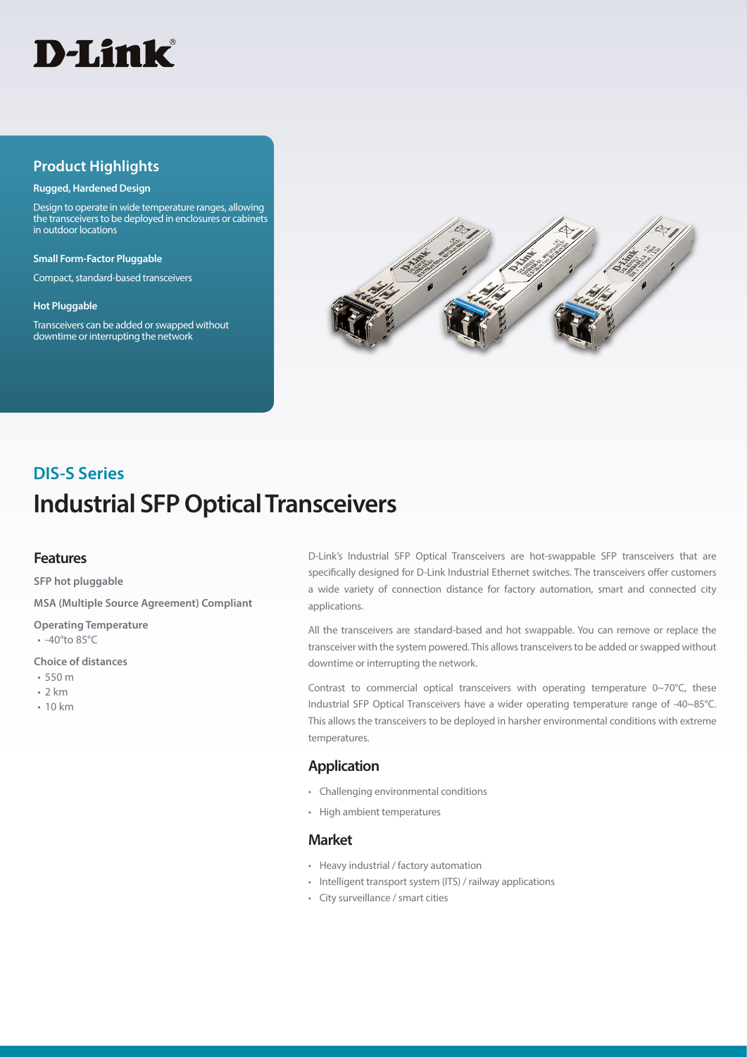

### **Product Highlights**

#### **Rugged, Hardened Design**

Design to operate in wide temperature ranges, allowing the transceivers to be deployed in enclosures or cabinets in outdoor locations

**Small Form-Factor Pluggable**

Compact, standard-based transceivers

#### **Hot Pluggable**

Transceivers can be added or swapped without downtime or interrupting the network



# **Industrial SFP Optical Transceivers DIS-S Series**

#### **Features**

**SFP hot pluggable**

**MSA (Multiple Source Agreement) Compliant**

**Operating Temperature**

• -40°to 85°C

**Choice of distances**

- 550 m
- 2 km
- 10 km

D-Link's Industrial SFP Optical Transceivers are hot-swappable SFP transceivers that are specifically designed for D-Link Industrial Ethernet switches. The transceivers offer customers a wide variety of connection distance for factory automation, smart and connected city applications.

All the transceivers are standard-based and hot swappable. You can remove or replace the transceiver with the system powered. This allows transceivers to be added or swapped without downtime or interrupting the network.

Contrast to commercial optical transceivers with operating temperature 0~70°C, these Industrial SFP Optical Transceivers have a wider operating temperature range of -40~85°C. This allows the transceivers to be deployed in harsher environmental conditions with extreme temperatures.

#### **Application**

- Challenging environmental conditions
- High ambient temperatures

#### **Market**

- Heavy industrial / factory automation
- Intelligent transport system (ITS) / railway applications
- City surveillance / smart cities